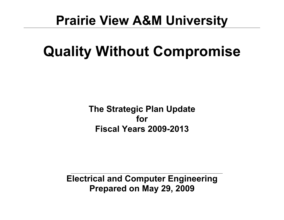## **Prairie View A&M University**

# **Quality Without Compromise**

**The Strategic Plan Update for Fiscal Years 2009-2013**

**Electrical and Computer Engineering Prepared on May 29, 2009**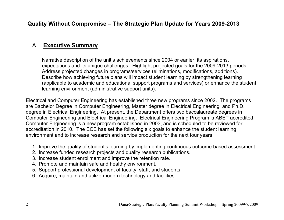## A. **Executive Summary**

Narrative description of the unit's achievements since 2004 or earlier, its aspirations, expectations and its unique challenges. Highlight projected goals for the 2009-2013 periods. Address projected changes in programs/services (eliminations, modifications, additions). Describe how achieving future plans will impact student learning by strengthening learning (applicable to academic and educational support programs and services) or enhance the student learning environment (administrative support units).

Electrical and Computer Engineering has established three new programs since 2002. The programs are Bachelor Degree in Computer Engineering, Master degree in Electrical Engineering, and Ph.D. degree in Electrical Engineering. At present, the Department offers two baccalaureate degrees in Computer Engineering and Electrical Engineering. Electrical Engineering Program is ABET accredited. Computer Engineering is a new program established in 2003, and is scheduled to be reviewed for accreditation in 2010. The ECE has set the following six goals to enhance the student learning environment and to increase research and service production for the next four years:

- 1. Improve the quality of student's learning by implementing continuous outcome based assessment.
- 2. Increase funded research projects and quality research publications.
- 3. Increase student enrollment and improve the retention rate.
- 4. Promote and maintain safe and healthy environment.
- 5. Support professional development of faculty, staff, and students.
- 6. Acquire, maintain and utilize modern technology and facilities.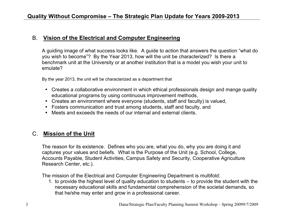## B. **Vision of the Electrical and Computer Engineering**

A guiding image of what success looks like. A guide to action that answers the question "what do you wish to become"? By the Year 2013, how will the unit be characterized? Is there a benchmark unit at the University or at another institution that is a model you wish your unit to emulate?

By the year 2013, the unit will be characterized as a department that

- Creates a collaborative environment in which ethical professionals design and mange quality educational programs by using continuous improvement methods,
- Creates an environment where everyone (students, staff and faculty) is valued,
- Fosters communication and trust among students, staff and faculty, and
- Meets and exceeds the needs of our internal and external clients.

## C. **Mission of the Unit**

The reason for its existence. Defines who you are, what you do, why you are doing it and captures your values and beliefs. What is the Purpose of the Unit (e.g. School, College, Accounts Payable, Student Activities, Campus Safety and Security, Cooperative Agriculture Research Center, etc.).

The mission of the Electrical and Computer Engineering Department is multifold:

1. to provide the highest level of quality education to students – to provide the student with the necessary educational skills and fundamental comprehension of the societal demands, so that he/she may enter and grow in a professional career.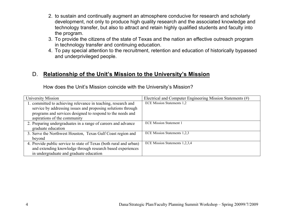- 2. to sustain and continually augment an atmosphere conducive for research and scholarly development, not only to produce high quality research and the associated knowledge and technology transfer, but also to attract and retain highly qualified students and faculty into the program.
- 3. To provide the citizens of the state of Texas and the nation an effective outreach program in technology transfer and continuing education.
- 4. To pay special attention to the recruitment, retention and education of historically bypassed and underprivileged people.

## D. **Relationship of the Unit's Mission to the University's Mission**

How does the Unit's Mission coincide with the University's Mission?

| University Mission                                                 | Electrical and Computer Engineering Mission Statements (#) |
|--------------------------------------------------------------------|------------------------------------------------------------|
| 1. committed to achieving relevance in teaching, research and      | <b>ECE Mission Statements 1,2</b>                          |
| service by addressing issues and proposing solutions through       |                                                            |
| programs and services designed to respond to the needs and         |                                                            |
| aspirations of the community                                       |                                                            |
| 2. Preparing undergraduates in a range of careers and advance      | <b>ECE Mission Statement 1</b>                             |
| graduate education                                                 |                                                            |
| 3. Serve the Northwest Houston, Texas Gulf Coast region and        | <b>ECE Mission Statements 1,2,3</b>                        |
| beyond                                                             |                                                            |
| 4. Provide public service to state of Texas (both rural and urban) | ECE Mission Statements 1,2,3,4                             |
| and extending knowledge through research based experiences         |                                                            |
| in undergraduate and graduate education                            |                                                            |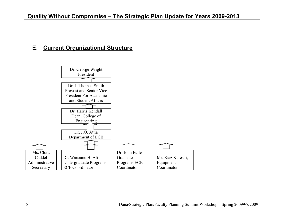## E. **Current Organizational Structure**

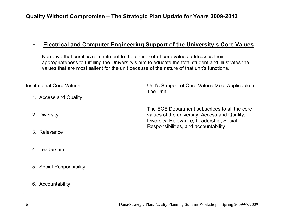## F. **Electrical and Computer Engineering Support of the University's Core Values**

Narrative that certifies commitment to the entire set of core values addresses their appropriateness to fulfilling the University's aim to educate the total student and illustrates the values that are most salient for the unit because of the nature of that unit's functions.

| <b>Institutional Core Values</b> | Unit's Support of Core Values Most Applicable to<br>The Unit                                                                               |
|----------------------------------|--------------------------------------------------------------------------------------------------------------------------------------------|
| 1. Access and Quality            |                                                                                                                                            |
| <b>Diversity</b><br>2.           | The ECE Department subscribes to all the core<br>values of the university; Access and Quality,<br>Diversity, Relevance, Leadership, Social |
| 3. Relevance                     | Responsibilities, and accountability                                                                                                       |
| Leadership<br>4.                 |                                                                                                                                            |
| 5. Social Responsibility         |                                                                                                                                            |
| 6. Accountability                |                                                                                                                                            |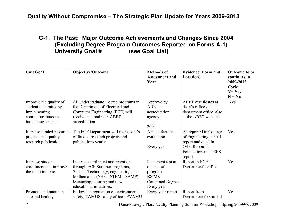**G-1. The Past: Major Outcome Achievements and Changes Since 2004 (Excluding Degree Program Outcomes Reported on Forms A-1) University Goal #\_\_\_\_\_\_\_\_ (see Goal List)**

| <b>Unit Goal</b>                                                                                           | <b>Objective/Outcome</b>                                                                                                                                                                               | <b>Methods of</b><br><b>Assessment and</b><br>Year                                                 | <b>Evidence (Form and</b><br>Location)                                                                                   | <b>Outcome to be</b><br>continues in<br>2009-2013<br>Cycle<br>$Y = Yes$<br>$N = No$ |
|------------------------------------------------------------------------------------------------------------|--------------------------------------------------------------------------------------------------------------------------------------------------------------------------------------------------------|----------------------------------------------------------------------------------------------------|--------------------------------------------------------------------------------------------------------------------------|-------------------------------------------------------------------------------------|
| Improve the quality of<br>student's learning by<br>implementing<br>continuous outcome<br>based assessment. | All undergraduate Degree programs in<br>the Department of Electrical and<br>Computer Engineering (ECE) will<br>receive and maintain ABET<br>accreditation                                              | Approve by<br><b>ABET</b><br>accreditation<br>agency,<br>2004                                      | <b>ABET</b> certificates at<br>dean's office /<br>department office, also<br>at the ABET websites                        | Yes                                                                                 |
| Increase funded research<br>projects and quality<br>research publications.                                 | The ECE Department will increase it's<br>of funded research projects and<br>publications yearly.                                                                                                       | Annual faculty<br>evaluation.<br>Every year                                                        | As reported in College<br>of Engineering annual<br>report and cited in<br>OSP, Research<br>Foundation and TEES<br>report | Yes                                                                                 |
| Increase student<br>enrollment and improve<br>the retention rate.                                          | Increase enrollment and retention<br>through ECE Summer Programs,<br>Science Technology, engineering and<br>Mathematics (NSF – STEM/LSAMP),<br>Mentoring, tutoring and new<br>educational initiatives. | Placement test at<br>the end of<br>program<br><b>BS/MS</b><br><b>Combined Degree</b><br>Every year | Report in ECE<br>Department's office.                                                                                    | Yes                                                                                 |
| Promote and maintain<br>safe and healthy                                                                   | Follow the regulation of environmental<br>safety, TAMUS safety office - PVAMU                                                                                                                          | Every year report                                                                                  | Report from<br>Department forwarded                                                                                      | Yes                                                                                 |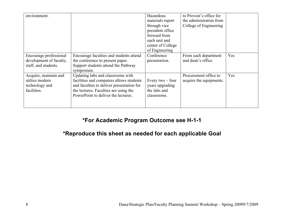| environment.                                                              |                                                                                                                                                                                                            | Hazardous<br>materials report<br>through vice<br>president office<br>forward from<br>each unit and<br>center of College<br>of Engineering | to Provost's office for<br>the administration from<br>College of Engineering |     |
|---------------------------------------------------------------------------|------------------------------------------------------------------------------------------------------------------------------------------------------------------------------------------------------------|-------------------------------------------------------------------------------------------------------------------------------------------|------------------------------------------------------------------------------|-----|
| Encourage professional<br>development of faculty,<br>staff, and students. | Encourage faculties and students attend<br>the conference to present paper.<br>Support students attend the Pathway<br>symposium.                                                                           | Conference<br>presentation.                                                                                                               | From each department<br>and dean's office                                    | Yes |
| Acquire, maintain and<br>utilize modern<br>technology and<br>facilities.  | Updating labs and classrooms with<br>facilities and computers allows students<br>and faculties to deliver presentation for<br>the lectures. Faculties are using the<br>PowerPoint to deliver the lectures. | Every $two$ – four<br>years upgrading<br>the labs and<br>classrooms.                                                                      | Procurement office to<br>acquire the equipments.                             | Yes |

## **\*For Academic Program Outcome see H-1-1**

## **\*Reproduce this sheet as needed for each applicable Goal**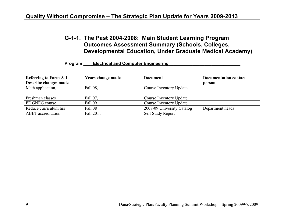## **G-1-1. The Past 2004-2008: Main Student Learning Program Outcomes Assessment Summary (Schools, Colleges, Developmental Education, Under Graduate Medical Academy)**

#### **Program \_\_\_\_\_ Electrical and Computer Engineering**

| <b>Referring to Form A-1,</b> | <b>Years change made</b> | <b>Document</b>            | <b>Documentation contact</b> |
|-------------------------------|--------------------------|----------------------------|------------------------------|
| Describe changes made         |                          |                            | person                       |
| Math application,             | Fall 08,                 | Course Inventory Update    |                              |
| Freshman classes              | Fall 07,                 | Course Inventory Update    |                              |
| FE GNEG course                | Fall 09                  | Course Inventory Update    |                              |
| Reduce curriculum hrs         | Fall 08                  | 2008-09 University Catalog | Department heads             |
| <b>ABET</b> accreditation     | Fall 2011                | Self Study Report          |                              |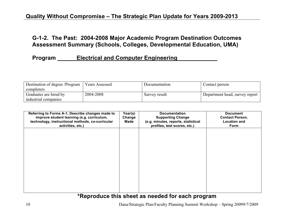## **G-1-2. The Past: 2004-2008 Major Academic Program Destination Outcomes Assessment Summary (Schools, Colleges, Developmental Education, UMA)**

## **Program \_\_\_\_\_\_\_ Electrical and Computer Engineering \_\_\_\_\_\_\_\_\_\_\_\_\_\_\_\_\_\_\_\_\_\_\_\_\_\_\_\_**

| Destination of degree /Program | <b>Years Assessed</b> | Documentation | Contact person                 |
|--------------------------------|-----------------------|---------------|--------------------------------|
| completers                     |                       |               |                                |
| Graduates are hired by         | 2004-2008             | Survey result | Department head, survey report |
| industrial companies           |                       |               |                                |

| Referring to Forms A-1, Describe changes made to<br>improve student learning (e.g. curriculum,<br>technology, instructional methods, co-curricular<br>activities, etc.) | Year(s)<br>Change<br>Made | <b>Documentation</b><br><b>Supporting Change</b><br>(e.g. minutes, reports, statistical<br>profiles, test scores, etc.) | <b>Document</b><br><b>Contact Person,</b><br><b>Location and</b><br>Form |
|-------------------------------------------------------------------------------------------------------------------------------------------------------------------------|---------------------------|-------------------------------------------------------------------------------------------------------------------------|--------------------------------------------------------------------------|
|                                                                                                                                                                         |                           |                                                                                                                         |                                                                          |
|                                                                                                                                                                         |                           |                                                                                                                         |                                                                          |
|                                                                                                                                                                         |                           |                                                                                                                         |                                                                          |
|                                                                                                                                                                         |                           |                                                                                                                         |                                                                          |

## **\*Reproduce this sheet as needed for each program**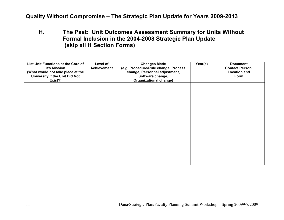**H. The Past: Unit Outcomes Assessment Summary for Units Without Formal Inclusion in the 2004-2008 Strategic Plan Update (skip all H Section Forms)**

| List Unit Functions at the Core of<br>it's Mission<br>(What would not take place at the<br>University if the Unit Did Not<br>Exist?) | Level of<br>Achievement | <b>Changes Made</b><br>(e.g. Procedure/Rule change, Process<br>change, Personnel adjustment,<br>Software change,<br><b>Organizational change)</b> | Year(s) | <b>Document</b><br><b>Contact Person,</b><br><b>Location and</b><br>Form |
|--------------------------------------------------------------------------------------------------------------------------------------|-------------------------|---------------------------------------------------------------------------------------------------------------------------------------------------|---------|--------------------------------------------------------------------------|
|                                                                                                                                      |                         |                                                                                                                                                   |         |                                                                          |
|                                                                                                                                      |                         |                                                                                                                                                   |         |                                                                          |
|                                                                                                                                      |                         |                                                                                                                                                   |         |                                                                          |
|                                                                                                                                      |                         |                                                                                                                                                   |         |                                                                          |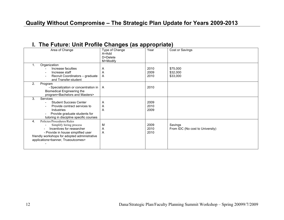## **I. The Future: Unit Profile Changes (as appropriate)**

| Area of Change                                                                                                                                                                                                                     | Type of Change<br>A=Add<br>D=Delete<br>M=Modify | Year                 | Cost or Savings                             |
|------------------------------------------------------------------------------------------------------------------------------------------------------------------------------------------------------------------------------------|-------------------------------------------------|----------------------|---------------------------------------------|
| Organization<br>1.<br>Increase faculties<br>Increase staff<br>Recruit Coordinators - graduate<br>and Transfer-student                                                                                                              | Α<br>Α<br>A                                     | 2010<br>2009<br>2010 | \$75,000<br>\$32,000<br>\$33,000            |
| 2.<br>Program<br>- Specialization or concentration in   A<br><b>Biomedical Engineering the</b><br>program <bachelors and="" masters=""></bachelors>                                                                                |                                                 | 2010                 |                                             |
| 3.<br>Services<br><b>Student Success Center</b><br>Provide contract services to<br>Industries<br>Provide graduate students for<br>tutoring in discipline specific courses                                                          | Α<br>Α<br>A                                     | 2009<br>2010<br>2009 |                                             |
| Policies/Procedures/Rules<br>4.<br>Simplify hiring process<br>Incentives for researcher<br>- Provide in house simplified user<br>friendly workshops for adopted administrative<br>applications <banner, trueoutcomes=""></banner,> | М<br>Α<br>A                                     | 2009<br>2010<br>2010 | Savings<br>From IDC (No cost to University) |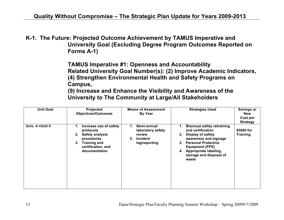**K-1. The Future: Projected Outcome Achievement by TAMUS Imperative and University Goal (Excluding Degree Program Outcomes Reported on Forms A-1)**

> **TAMUS Imperative #1: Openness and Accountability Related University Goal Number(s): (2) Improve Academic Indicators, (4) Strengthen Environmental Health and Safety Programs on Campus,**

**(9) Increase and Enhance the Visibility and Awareness of the University to The Community at Large/All Stakeholders**

| <b>Unit Goal</b> | Projected<br><b>Objectives/Outcomes</b>                                                                                                                     | <b>Means of Assessment</b><br><b>By Year</b>                                        | <b>Strategies Used</b>                                                                                                                                                                                                               | <b>Savings or</b><br><b>New</b><br>Cost per<br><b>Strategy</b> |
|------------------|-------------------------------------------------------------------------------------------------------------------------------------------------------------|-------------------------------------------------------------------------------------|--------------------------------------------------------------------------------------------------------------------------------------------------------------------------------------------------------------------------------------|----------------------------------------------------------------|
| Univ. 4 = Unit 4 | Increase use of safety<br>1.<br>protocols<br><b>Safety analysis</b><br>2.<br>procedures<br><b>Training and</b><br>3.<br>certification, and<br>documentation | Semi-annual<br>1.<br>laboratory safety<br>review<br>Incident<br>2.<br>log/reporting | <b>Biannual safety retraining</b><br>1.<br>and certification<br>Display of safety<br>2.<br>awareness and signage<br>3. Personal Protective<br><b>Equipment (PPE)</b><br>4. Appropriate labeling,<br>storage and disposal of<br>waste | \$5000 for<br><b>Training</b>                                  |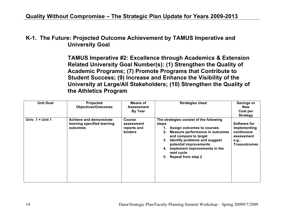**K-1. The Future: Projected Outcome Achievement by TAMUS Imperative and University Goal**

> **TAMUS Imperative #2: Excellence through Academics & Extension Related University Goal Number(s): (1) Strengthen the Quality of Academic Programs; (7) Promote Programs that Contribute to Student Success; (9) Increase and Enhance the Visibility of the University at Large/All Stakeholders; (10) Strengthen the Quality of the Athletics Program**

| <b>Unit Goal</b>   | Projected<br><b>Objectives/Outcomes</b>                                   | Means of<br><b>Assessment</b><br><b>By Year</b>              | <b>Strategies Used</b>                                                                                                                                                                                                                                                                               | <b>Savings or</b><br><b>New</b><br>Cost per<br><b>Strategy</b>                           |
|--------------------|---------------------------------------------------------------------------|--------------------------------------------------------------|------------------------------------------------------------------------------------------------------------------------------------------------------------------------------------------------------------------------------------------------------------------------------------------------------|------------------------------------------------------------------------------------------|
| Univ. $1 =$ Unit 1 | <b>Achieve and demonstrate</b><br>learning specified learning<br>outcomes | <b>Course</b><br>assessment<br>reports and<br><b>binders</b> | The strategies consist of the following<br>steps.<br>Assign outcomes to courses<br>Measure performance in outcomes<br>and compare to target<br>Identify problems and suggest<br>3.<br>potential improvements<br>Implement improvements in the<br>4.<br>next cycle<br><b>Repeat from step 2</b><br>5. | Software for<br>implementing<br>continuous<br>assessment<br>e.g.,<br><b>Trueoutcomes</b> |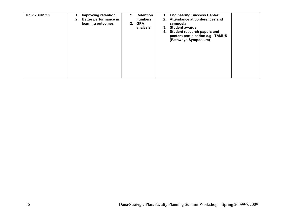| Univ.7 = Unit 5 | <b>Improving retention</b><br><b>Better performance in</b><br>2.<br>learning outcomes | <b>Retention</b><br>numbers<br>2. GPA<br>analysis | <b>Engineering Success Center</b><br>1.<br>Attendance at conferences and<br>2.<br>symposia<br><b>Student awards</b><br>3.<br>4. Student research papers and<br>posters participation e.g., TAMUS<br>(Pathways Symposium) |  |
|-----------------|---------------------------------------------------------------------------------------|---------------------------------------------------|--------------------------------------------------------------------------------------------------------------------------------------------------------------------------------------------------------------------------|--|
|-----------------|---------------------------------------------------------------------------------------|---------------------------------------------------|--------------------------------------------------------------------------------------------------------------------------------------------------------------------------------------------------------------------------|--|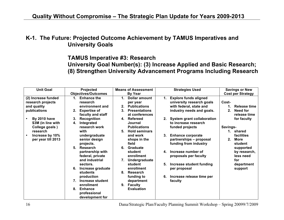## **K-1. The Future: Projected Outcome Achievement by TAMUS Imperatives and University Goals**

## **TAMUS Imperative #3: Research University Goal Number(s): (3) Increase Applied and Basic Research; (8) Strengthen University Advancement Programs Including Research**

| <b>Unit Goal</b>    | Projected                  | <b>Means of Assessment</b>             | <b>Strategies Used</b>                  | <b>Savings or New</b>    |
|---------------------|----------------------------|----------------------------------------|-----------------------------------------|--------------------------|
|                     | <b>Objectives/Outcomes</b> | By Year                                |                                         | <b>Cost per Strategy</b> |
| (2) Increase funded | <b>Enhance the</b><br>1.   | Dollar amount<br>1.                    | <b>Explore funds aligned</b><br>1.      |                          |
| research projects   | research                   | per year                               | university research goals               | Cost-                    |
| and quality         | environment and            | <b>Publications</b><br>2.              | with federal, state and                 | Release time<br>1.       |
| publications        | <b>Expertise of</b><br>2.  | 3 <sub>1</sub><br><b>Presentations</b> | industry needs and goals.               | 2.<br><b>Need for</b>    |
|                     | faculty and staff          | at conferences                         |                                         | release time             |
| <b>By 2010 have</b> | <b>Recognition</b><br>3.   | Refereed<br>4.                         | <b>System grant collaboration</b><br>2. | for faculty              |
| \$3M (in line with  | Integrated<br>4.           | Journal                                | to increase research                    |                          |
| College goals)      | research work              | <b>Publications</b>                    | funded projects                         | Savings-                 |
| research            | with                       | <b>Hold seminars</b><br>5.             |                                         | 1. shared                |
| Increase by 10%     | undergraduate              | and work                               | <b>Enhance corporate</b><br>3.          | facilities               |
| per year till 2013  | senior design              | shops in the                           | partnerships - proposal                 | <b>More</b><br>$2_{-}$   |
|                     | projects.                  | field                                  | funding from industry                   | student                  |
|                     | 5.<br>Research             | 6.<br>Graduate                         |                                         | supported                |
|                     | partnership with           | student                                | Increase number of<br>4.                | by research,             |
|                     | federal, private           | enrollment                             | proposals per faculty                   | less need                |
|                     | and industrial             | 7.<br>Undergraduate                    |                                         | for                      |
|                     | sectors.                   | student                                | Increase student funding<br>5.          | department               |
|                     | Increase graduate          | enrollment                             | per proposal                            | support                  |
|                     | students                   | 8.<br>Research                         |                                         |                          |
|                     | production                 | funding to                             | Increase release time per<br>6.         |                          |
|                     | Increase student           | department                             | faculty                                 |                          |
|                     | enrollment                 | 9. Faculty                             |                                         |                          |
|                     | 8.<br><b>Enhance</b>       | <b>Evaluation</b>                      |                                         |                          |
|                     | professional               |                                        |                                         |                          |
|                     | development for            |                                        |                                         |                          |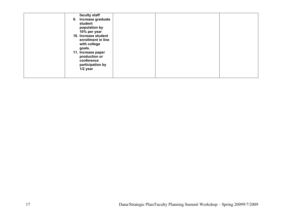| faculty staff<br>Increase graduate<br>9.<br>student<br>population by<br>10% per year<br>10. Increase student<br>enrollment in line<br>with college<br>goals.<br>11. Increase paper<br>production or<br>conference<br>participation by<br>$1/2$ year |  |  |
|-----------------------------------------------------------------------------------------------------------------------------------------------------------------------------------------------------------------------------------------------------|--|--|
|-----------------------------------------------------------------------------------------------------------------------------------------------------------------------------------------------------------------------------------------------------|--|--|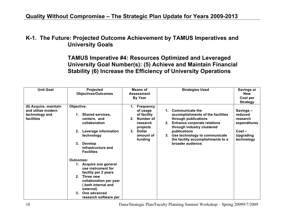## **K-1. The Future: Projected Outcome Achievement by TAMUS Imperatives and University Goals**

**TAMUS Imperative #4: Resources Optimized and Leveraged University Goal Number(s): (5) Achieve and Maintain Financial Stability (6) Increase the Efficiency of University Operations**

| <b>Unit Goal</b>                                                            | Projected<br><b>Objectives/Outcomes</b>                                                                                                                                                                                                                                                                                                                                                                                           | Means of<br><b>Assessment</b><br><b>By Year</b>                                                                                       | <b>Strategies Used</b>                                                                                                                                                                                                                                                  | <b>Savings or</b><br><b>New</b><br>Cost per<br><b>Strategy</b>                                |
|-----------------------------------------------------------------------------|-----------------------------------------------------------------------------------------------------------------------------------------------------------------------------------------------------------------------------------------------------------------------------------------------------------------------------------------------------------------------------------------------------------------------------------|---------------------------------------------------------------------------------------------------------------------------------------|-------------------------------------------------------------------------------------------------------------------------------------------------------------------------------------------------------------------------------------------------------------------------|-----------------------------------------------------------------------------------------------|
| (6) Acquire, maintain<br>and utilize modern<br>technology and<br>facilities | Objective:<br><b>Shared services,</b><br>1.<br>centers, and<br>collaboration<br>Leverage information<br>2.<br>technology<br><b>Develop</b><br>3.<br>infrastructure and<br><b>Facilities</b><br><b>Outcomes:</b><br>1. Acquire one general<br>use instrument for<br>facility per 2 years<br>Three new<br>2 <sup>1</sup><br>collaboration per year<br>both internal and<br>external)<br>One advanced<br>3.<br>research software per | <b>Frequency</b><br>of usage<br>of facility<br>Number of<br>2.<br>research<br>projects<br><b>Dollar</b><br>3.<br>amount of<br>funding | Communicate the<br>accomplishments of the facilities<br>through publications<br><b>Enhance corporate relations</b><br>2.<br>through industry clustered<br>publications<br>Use technology to communicate<br>3.<br>the facility accomplishments to a<br>broader audience. | Savings-<br>reduced<br>research<br>expenditures<br>$Cost -$<br><b>Upgrading</b><br>technology |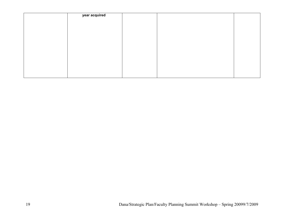| year acquired |  |  |
|---------------|--|--|
|               |  |  |
|               |  |  |
|               |  |  |
|               |  |  |
|               |  |  |
|               |  |  |
|               |  |  |
|               |  |  |
|               |  |  |
|               |  |  |
|               |  |  |
|               |  |  |
|               |  |  |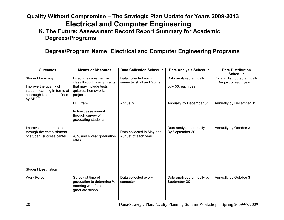## **Quality Without Compromise – The Strategic Plan Update for Years 2009-2013 Electrical and Computer Engineering K. The Future: Assessment Record Report Summary for Academic Degrees/Programs**

## **Degree/Program Name: Electrical and Computer Engineering Programs**

| <b>Outcomes</b>                                                                                                   | <b>Means or Measures</b>                                                                                         | <b>Data Collection Schedule</b>                   | <b>Data Analysis Schedule</b>                | <b>Data Distribution</b><br><b>Schedule</b>            |
|-------------------------------------------------------------------------------------------------------------------|------------------------------------------------------------------------------------------------------------------|---------------------------------------------------|----------------------------------------------|--------------------------------------------------------|
| <b>Student Learning</b><br>Improve the quality of<br>student learning in terms of<br>a through k criteria defined | Direct measurement in<br>class through assignments<br>that may include tests,<br>quizzes, homework,<br>projects, | Data collected each<br>semester (Fall and Spring) | Data analyzed annually<br>July 30, each year | Data is distributed annually<br>in August of each year |
| by ABET                                                                                                           | FE Exam<br>Indirect assessment<br>through survey of<br>graduating students                                       | Annually                                          | Annually by December 31                      | Annually by December 31                                |
| Improve student retention<br>through the establishment<br>of student success center                               | 4, 5, and 6 year graduation<br>rates                                                                             | Data collected in May and<br>August of each year  | Data analyzed annually<br>By September 30    | Annually by October 31                                 |
| <b>Student Destination</b><br><b>Work Force</b>                                                                   | Survey at time of<br>graduation to determine %<br>entering workforce and<br>graduate school                      | Data collected every<br>semester                  | Data analyzed annually by<br>September 30    | Annually by October 31                                 |